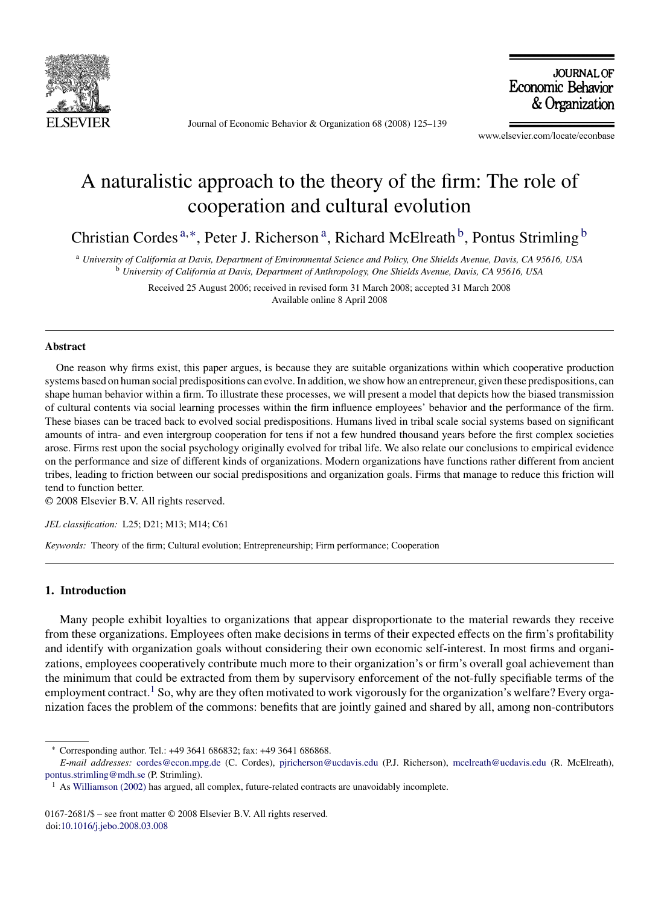

Journal of Economic Behavior & Organization 68 (2008) 125–139

**JOURNAL OF** Economic Behavior & Organization

www.elsevier.com/locate/econbase

# A naturalistic approach to the theory of the firm: The role of cooperation and cultural evolution

Christian Cordes<sup>a,∗</sup>, Peter J. Richerson<sup>a</sup>, Richard McElreath<sup>b</sup>, Pontus Strimling<sup>b</sup>

<sup>a</sup> *University of California at Davis, Department of Environmental Science and Policy, One Shields Avenue, Davis, CA 95616, USA* <sup>b</sup> *University of California at Davis, Department of Anthropology, One Shields Avenue, Davis, CA 95616, USA*

> Received 25 August 2006; received in revised form 31 March 2008; accepted 31 March 2008 Available online 8 April 2008

### **Abstract**

One reason why firms exist, this paper argues, is because they are suitable organizations within which cooperative production systems based on human social predispositions can evolve. In addition, we show how an entrepreneur, given these predispositions, can shape human behavior within a firm. To illustrate these processes, we will present a model that depicts how the biased transmission of cultural contents via social learning processes within the firm influence employees' behavior and the performance of the firm. These biases can be traced back to evolved social predispositions. Humans lived in tribal scale social systems based on significant amounts of intra- and even intergroup cooperation for tens if not a few hundred thousand years before the first complex societies arose. Firms rest upon the social psychology originally evolved for tribal life. We also relate our conclusions to empirical evidence on the performance and size of different kinds of organizations. Modern organizations have functions rather different from ancient tribes, leading to friction between our social predispositions and organization goals. Firms that manage to reduce this friction will tend to function better.

© 2008 Elsevier B.V. All rights reserved.

*JEL classification:* L25; D21; M13; M14; C61

*Keywords:* Theory of the firm; Cultural evolution; Entrepreneurship; Firm performance; Cooperation

# **1. Introduction**

Many people exhibit loyalties to organizations that appear disproportionate to the material rewards they receive from these organizations. Employees often make decisions in terms of their expected effects on the firm's profitability and identify with organization goals without considering their own economic self-interest. In most firms and organizations, employees cooperatively contribute much more to their organization's or firm's overall goal achievement than the minimum that could be extracted from them by supervisory enforcement of the not-fully specifiable terms of the employment contract.<sup>1</sup> So, why are they often motivated to work vigorously for the organization's welfare? Every organization faces the problem of the commons: benefits that are jointly gained and shared by all, among non-contributors

<sup>∗</sup> Corresponding author. Tel.: +49 3641 686832; fax: +49 3641 686868.

*E-mail addresses:* [cordes@econ.mpg.de](mailto:cordes@econ.mpg.de) (C. Cordes), [pjricherson@ucdavis.edu](mailto:pjricherson@ucdavis.edu) (P.J. Richerson), [mcelreath@ucdavis.edu](mailto:mcelreath@ucdavis.edu) (R. McElreath), [pontus.strimling@mdh.se](mailto:pontus.strimling@mdh.se) (P. Strimling).

 $<sup>1</sup>$  As [Williamson \(2002\)](#page-14-0) has argued, all complex, future-related contracts are unavoidably incomplete.</sup>

<sup>0167-2681/\$ –</sup> see front matter © 2008 Elsevier B.V. All rights reserved. doi:[10.1016/j.jebo.2008.03.008](dx.doi.org/10.1016/j.jebo.2008.03.008)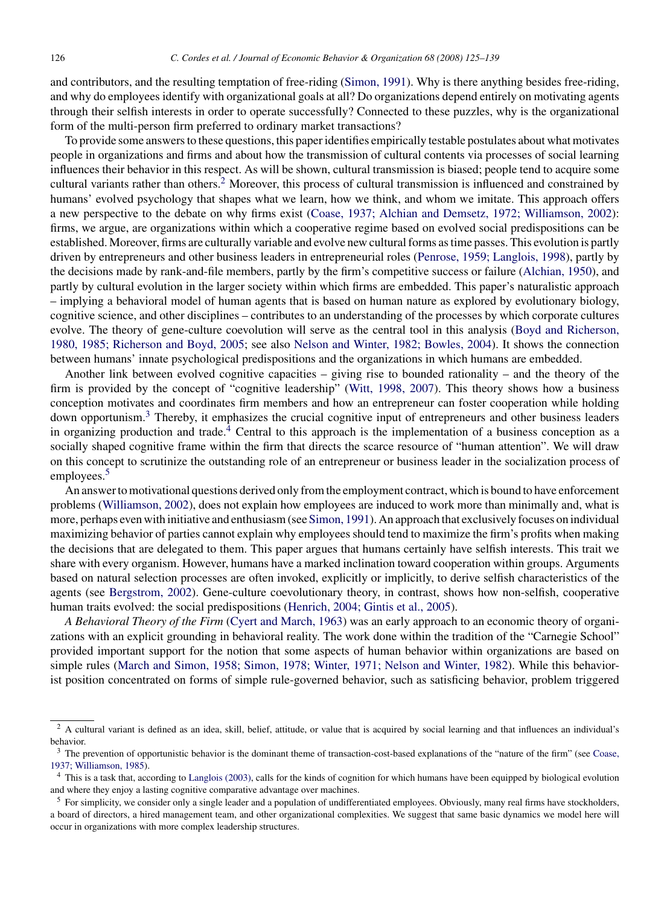and contributors, and the resulting temptation of free-riding [\(Simon, 1991\).](#page-14-0) Why is there anything besides free-riding, and why do employees identify with organizational goals at all? Do organizations depend entirely on motivating agents through their selfish interests in order to operate successfully? Connected to these puzzles, why is the organizational form of the multi-person firm preferred to ordinary market transactions?

To provide some answers to these questions, this paper identifies empirically testable postulates about what motivates people in organizations and firms and about how the transmission of cultural contents via processes of social learning influences their behavior in this respect. As will be shown, cultural transmission is biased; people tend to acquire some cultural variants rather than others.<sup>2</sup> Moreover, this process of cultural transmission is influenced and constrained by humans' evolved psychology that shapes what we learn, how we think, and whom we imitate. This approach offers a new perspective to the debate on why firms exist ([Coase, 1937; Alchian and Demsetz, 1972; Williamson, 2002\):](#page-13-0) firms, we argue, are organizations within which a cooperative regime based on evolved social predispositions can be established. Moreover, firms are culturally variable and evolve new cultural forms as time passes. This evolution is partly driven by entrepreneurs and other business leaders in entrepreneurial roles [\(Penrose, 1959; Langlois, 1998\),](#page-14-0) partly by the decisions made by rank-and-file members, partly by the firm's competitive success or failure ([Alchian, 1950\),](#page-13-0) and partly by cultural evolution in the larger society within which firms are embedded. This paper's naturalistic approach – implying a behavioral model of human agents that is based on human nature as explored by evolutionary biology, cognitive science, and other disciplines – contributes to an understanding of the processes by which corporate cultures evolve. The theory of gene-culture coevolution will serve as the central tool in this analysis [\(Boyd and Richerson,](#page-13-0) [1980, 1985; Richerson and Boyd, 2005;](#page-13-0) see also [Nelson and Winter, 1982; Bowles, 2004\).](#page-14-0) It shows the connection between humans' innate psychological predispositions and the organizations in which humans are embedded.

Another link between evolved cognitive capacities – giving rise to bounded rationality – and the theory of the firm is provided by the concept of "cognitive leadership" ([Witt, 1998, 2007\).](#page-14-0) This theory shows how a business conception motivates and coordinates firm members and how an entrepreneur can foster cooperation while holding down opportunism.<sup>3</sup> Thereby, it emphasizes the crucial cognitive input of entrepreneurs and other business leaders in organizing production and trade.<sup>4</sup> Central to this approach is the implementation of a business conception as a socially shaped cognitive frame within the firm that directs the scarce resource of "human attention". We will draw on this concept to scrutinize the outstanding role of an entrepreneur or business leader in the socialization process of employees.<sup>5</sup>

An answer to motivational questions derived only from the employment contract, which is bound to have enforcement problems ([Williamson, 2002\),](#page-14-0) does not explain how employees are induced to work more than minimally and, what is more, perhaps even with initiative and enthusiasm (see [Simon, 1991\).](#page-14-0) An approach that exclusively focuses on individual maximizing behavior of parties cannot explain why employees should tend to maximize the firm's profits when making the decisions that are delegated to them. This paper argues that humans certainly have selfish interests. This trait we share with every organism. However, humans have a marked inclination toward cooperation within groups. Arguments based on natural selection processes are often invoked, explicitly or implicitly, to derive selfish characteristics of the agents (see [Bergstrom, 2002\).](#page-13-0) Gene-culture coevolutionary theory, in contrast, shows how non-selfish, cooperative human traits evolved: the social predispositions [\(Henrich, 2004; Gintis et al., 2005\).](#page-13-0)

*A Behavioral Theory of the Firm* ([Cyert and March, 1963\)](#page-13-0) was an early approach to an economic theory of organizations with an explicit grounding in behavioral reality. The work done within the tradition of the "Carnegie School" provided important support for the notion that some aspects of human behavior within organizations are based on simple rules ([March and Simon, 1958; Simon, 1978; Winter, 1971; Nelson and Winter, 1982\).](#page-14-0) While this behaviorist position concentrated on forms of simple rule-governed behavior, such as satisficing behavior, problem triggered

<sup>&</sup>lt;sup>2</sup> A cultural variant is defined as an idea, skill, belief, attitude, or value that is acquired by social learning and that influences an individual's behavior.

<sup>&</sup>lt;sup>3</sup> The prevention of opportunistic behavior is the dominant theme of transaction-cost-based explanations of the "nature of the firm" (see [Coase,](#page-13-0) [1937; Williamson, 1985\).](#page-13-0)

<sup>4</sup> This is a task that, according to [Langlois \(2003\), c](#page-13-0)alls for the kinds of cognition for which humans have been equipped by biological evolution and where they enjoy a lasting cognitive comparative advantage over machines.

<sup>&</sup>lt;sup>5</sup> For simplicity, we consider only a single leader and a population of undifferentiated employees. Obviously, many real firms have stockholders, a board of directors, a hired management team, and other organizational complexities. We suggest that same basic dynamics we model here will occur in organizations with more complex leadership structures.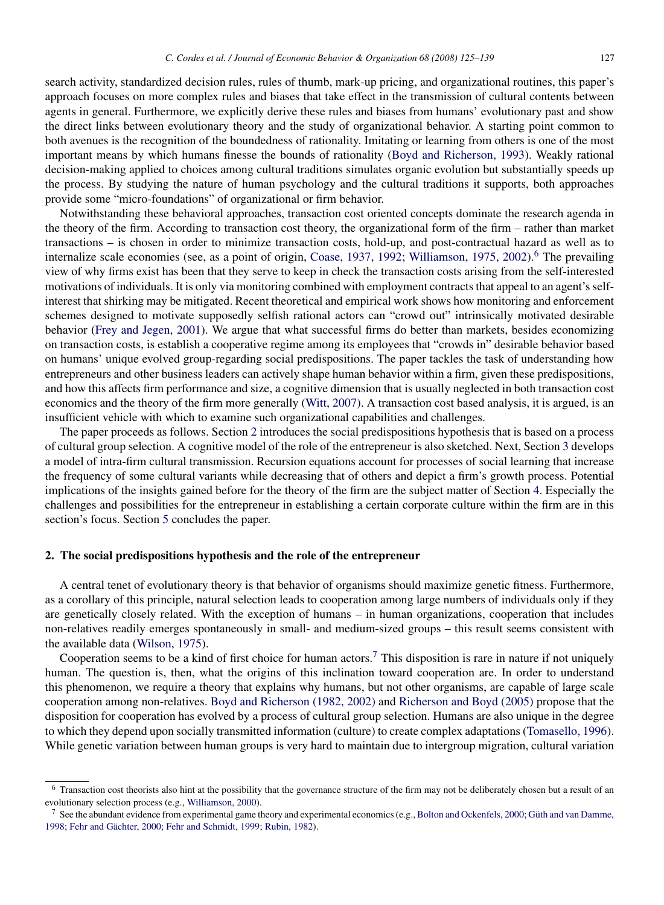<span id="page-2-0"></span>search activity, standardized decision rules, rules of thumb, mark-up pricing, and organizational routines, this paper's approach focuses on more complex rules and biases that take effect in the transmission of cultural contents between agents in general. Furthermore, we explicitly derive these rules and biases from humans' evolutionary past and show the direct links between evolutionary theory and the study of organizational behavior. A starting point common to both avenues is the recognition of the boundedness of rationality. Imitating or learning from others is one of the most important means by which humans finesse the bounds of rationality [\(Boyd and Richerson, 1993\).](#page-13-0) Weakly rational decision-making applied to choices among cultural traditions simulates organic evolution but substantially speeds up the process. By studying the nature of human psychology and the cultural traditions it supports, both approaches provide some "micro-foundations" of organizational or firm behavior.

Notwithstanding these behavioral approaches, transaction cost oriented concepts dominate the research agenda in the theory of the firm. According to transaction cost theory, the organizational form of the firm – rather than market transactions – is chosen in order to minimize transaction costs, hold-up, and post-contractual hazard as well as to internalize scale economies (see, as a point of origin, [Coase, 1937, 1992; Williamson, 1975, 2002\).](#page-13-0)<sup>6</sup> The prevailing view of why firms exist has been that they serve to keep in check the transaction costs arising from the self-interested motivations of individuals. It is only via monitoring combined with employment contracts that appeal to an agent's selfinterest that shirking may be mitigated. Recent theoretical and empirical work shows how monitoring and enforcement schemes designed to motivate supposedly selfish rational actors can "crowd out" intrinsically motivated desirable behavior [\(Frey and Jegen, 2001\).](#page-13-0) We argue that what successful firms do better than markets, besides economizing on transaction costs, is establish a cooperative regime among its employees that "crowds in" desirable behavior based on humans' unique evolved group-regarding social predispositions. The paper tackles the task of understanding how entrepreneurs and other business leaders can actively shape human behavior within a firm, given these predispositions, and how this affects firm performance and size, a cognitive dimension that is usually neglected in both transaction cost economics and the theory of the firm more generally [\(Witt, 2007\).](#page-14-0) A transaction cost based analysis, it is argued, is an insufficient vehicle with which to examine such organizational capabilities and challenges.

The paper proceeds as follows. Section 2 introduces the social predispositions hypothesis that is based on a process of cultural group selection. A cognitive model of the role of the entrepreneur is also sketched. Next, Section [3](#page-4-0) develops a model of intra-firm cultural transmission. Recursion equations account for processes of social learning that increase the frequency of some cultural variants while decreasing that of others and depict a firm's growth process. Potential implications of the insights gained before for the theory of the firm are the subject matter of Section [4.](#page-8-0) Especially the challenges and possibilities for the entrepreneur in establishing a certain corporate culture within the firm are in this section's focus. Section [5](#page-12-0) concludes the paper.

#### **2. The social predispositions hypothesis and the role of the entrepreneur**

A central tenet of evolutionary theory is that behavior of organisms should maximize genetic fitness. Furthermore, as a corollary of this principle, natural selection leads to cooperation among large numbers of individuals only if they are genetically closely related. With the exception of humans – in human organizations, cooperation that includes non-relatives readily emerges spontaneously in small- and medium-sized groups – this result seems consistent with the available data [\(Wilson, 1975\).](#page-14-0)

Cooperation seems to be a kind of first choice for human actors.<sup>7</sup> This disposition is rare in nature if not uniquely human. The question is, then, what the origins of this inclination toward cooperation are. In order to understand this phenomenon, we require a theory that explains why humans, but not other organisms, are capable of large scale cooperation among non-relatives. [Boyd and Richerson \(1982, 2002\)](#page-13-0) and [Richerson and Boyd \(2005\)](#page-14-0) propose that the disposition for cooperation has evolved by a process of cultural group selection. Humans are also unique in the degree to which they depend upon socially transmitted information (culture) to create complex adaptations ([Tomasello, 1996\).](#page-14-0) While genetic variation between human groups is very hard to maintain due to intergroup migration, cultural variation

<sup>6</sup> Transaction cost theorists also hint at the possibility that the governance structure of the firm may not be deliberately chosen but a result of an evolutionary selection process (e.g., [Williamson, 2000\).](#page-14-0)

<sup>&</sup>lt;sup>7</sup> See the abundant evidence from experimental game theory and experimental economics (e.g., Bolton and Ockenfels, 2000; Güth and van Damme, 1998; Fehr and Gächter, 2000; Fehr and Schmidt, 1999; Rubin, 1982).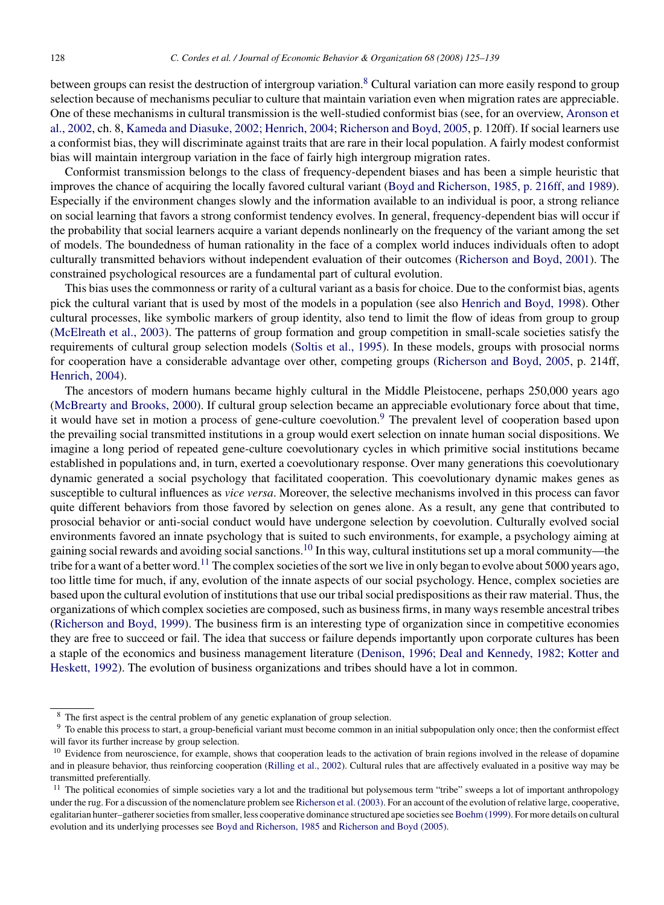between groups can resist the destruction of intergroup variation.<sup>8</sup> Cultural variation can more easily respond to group selection because of mechanisms peculiar to culture that maintain variation even when migration rates are appreciable. One of these mechanisms in cultural transmission is the well-studied conformist bias (see, for an overview, [Aronson et](#page-13-0) [al., 2002, c](#page-13-0)h. 8, [Kameda and Diasuke, 2002; Henrich, 2004; Richerson and Boyd, 2005, p](#page-13-0). 120ff). If social learners use a conformist bias, they will discriminate against traits that are rare in their local population. A fairly modest conformist bias will maintain intergroup variation in the face of fairly high intergroup migration rates.

Conformist transmission belongs to the class of frequency-dependent biases and has been a simple heuristic that improves the chance of acquiring the locally favored cultural variant [\(Boyd and Richerson, 1985, p. 216ff, and 1989\).](#page-13-0) Especially if the environment changes slowly and the information available to an individual is poor, a strong reliance on social learning that favors a strong conformist tendency evolves. In general, frequency-dependent bias will occur if the probability that social learners acquire a variant depends nonlinearly on the frequency of the variant among the set of models. The boundedness of human rationality in the face of a complex world induces individuals often to adopt culturally transmitted behaviors without independent evaluation of their outcomes [\(Richerson and Boyd, 2001\).](#page-14-0) The constrained psychological resources are a fundamental part of cultural evolution.

This bias uses the commonness or rarity of a cultural variant as a basis for choice. Due to the conformist bias, agents pick the cultural variant that is used by most of the models in a population (see also [Henrich and Boyd, 1998\).](#page-13-0) Other cultural processes, like symbolic markers of group identity, also tend to limit the flow of ideas from group to group ([McElreath et al., 2003\).](#page-14-0) The patterns of group formation and group competition in small-scale societies satisfy the requirements of cultural group selection models ([Soltis et al., 1995\).](#page-14-0) In these models, groups with prosocial norms for cooperation have a considerable advantage over other, competing groups ([Richerson and Boyd, 2005,](#page-14-0) p. 214ff, [Henrich, 2004\).](#page-13-0)

The ancestors of modern humans became highly cultural in the Middle Pleistocene, perhaps 250,000 years ago ([McBrearty and Brooks, 2000\).](#page-14-0) If cultural group selection became an appreciable evolutionary force about that time, it would have set in motion a process of gene-culture coevolution.<sup>9</sup> The prevalent level of cooperation based upon the prevailing social transmitted institutions in a group would exert selection on innate human social dispositions. We imagine a long period of repeated gene-culture coevolutionary cycles in which primitive social institutions became established in populations and, in turn, exerted a coevolutionary response. Over many generations this coevolutionary dynamic generated a social psychology that facilitated cooperation. This coevolutionary dynamic makes genes as susceptible to cultural influences as *vice versa*. Moreover, the selective mechanisms involved in this process can favor quite different behaviors from those favored by selection on genes alone. As a result, any gene that contributed to prosocial behavior or anti-social conduct would have undergone selection by coevolution. Culturally evolved social environments favored an innate psychology that is suited to such environments, for example, a psychology aiming at gaining social rewards and avoiding social sanctions.<sup>10</sup> In this way, cultural institutions set up a moral community—the tribe for a want of a better word.<sup>11</sup> The complex societies of the sort we live in only began to evolve about 5000 years ago, too little time for much, if any, evolution of the innate aspects of our social psychology. Hence, complex societies are based upon the cultural evolution of institutions that use our tribal social predispositions as their raw material. Thus, the organizations of which complex societies are composed, such as business firms, in many ways resemble ancestral tribes ([Richerson and Boyd, 1999\).](#page-14-0) The business firm is an interesting type of organization since in competitive economies they are free to succeed or fail. The idea that success or failure depends importantly upon corporate cultures has been a staple of the economics and business management literature [\(Denison, 1996; Deal and Kennedy, 1982; Kotter and](#page-13-0) [Heskett, 1992\).](#page-13-0) The evolution of business organizations and tribes should have a lot in common.

<sup>8</sup> The first aspect is the central problem of any genetic explanation of group selection.

<sup>&</sup>lt;sup>9</sup> To enable this process to start, a group-beneficial variant must become common in an initial subpopulation only once; then the conformist effect will favor its further increase by group selection.

<sup>&</sup>lt;sup>10</sup> Evidence from neuroscience, for example, shows that cooperation leads to the activation of brain regions involved in the release of dopamine and in pleasure behavior, thus reinforcing cooperation ([Rilling et al., 2002\).](#page-14-0) Cultural rules that are affectively evaluated in a positive way may be transmitted preferentially.

<sup>&</sup>lt;sup>11</sup> The political economies of simple societies vary a lot and the traditional but polysemous term "tribe" sweeps a lot of important anthropology under the rug. For a discussion of the nomenclature problem see [Richerson et al. \(2003\). F](#page-14-0)or an account of the evolution of relative large, cooperative, egalitarian hunter–gatherer societies from smaller, less cooperative dominance structured ape societies see [Boehm \(1999\). F](#page-13-0)or more details on cultural evolution and its underlying processes see [Boyd and Richerson, 1985](#page-13-0) and [Richerson and Boyd \(2005\).](#page-14-0)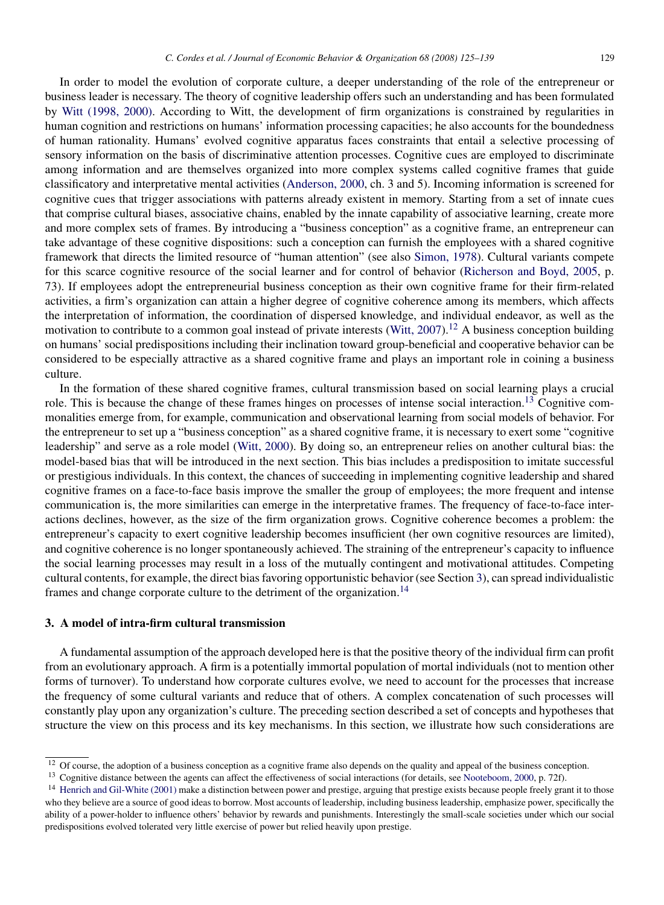<span id="page-4-0"></span>In order to model the evolution of corporate culture, a deeper understanding of the role of the entrepreneur or business leader is necessary. The theory of cognitive leadership offers such an understanding and has been formulated by [Witt \(1998, 2000\).](#page-14-0) According to Witt, the development of firm organizations is constrained by regularities in human cognition and restrictions on humans' information processing capacities; he also accounts for the boundedness of human rationality. Humans' evolved cognitive apparatus faces constraints that entail a selective processing of sensory information on the basis of discriminative attention processes. Cognitive cues are employed to discriminate among information and are themselves organized into more complex systems called cognitive frames that guide classificatory and interpretative mental activities ([Anderson, 2000,](#page-13-0) ch. 3 and 5). Incoming information is screened for cognitive cues that trigger associations with patterns already existent in memory. Starting from a set of innate cues that comprise cultural biases, associative chains, enabled by the innate capability of associative learning, create more and more complex sets of frames. By introducing a "business conception" as a cognitive frame, an entrepreneur can take advantage of these cognitive dispositions: such a conception can furnish the employees with a shared cognitive framework that directs the limited resource of "human attention" (see also [Simon, 1978\).](#page-14-0) Cultural variants compete for this scarce cognitive resource of the social learner and for control of behavior [\(Richerson and Boyd, 2005,](#page-14-0) p. 73). If employees adopt the entrepreneurial business conception as their own cognitive frame for their firm-related activities, a firm's organization can attain a higher degree of cognitive coherence among its members, which affects the interpretation of information, the coordination of dispersed knowledge, and individual endeavor, as well as the motivation to contribute to a common goal instead of private interests ([Witt, 2007\).](#page-14-0)<sup>12</sup> A business conception building on humans' social predispositions including their inclination toward group-beneficial and cooperative behavior can be considered to be especially attractive as a shared cognitive frame and plays an important role in coining a business culture.

In the formation of these shared cognitive frames, cultural transmission based on social learning plays a crucial role. This is because the change of these frames hinges on processes of intense social interaction.<sup>13</sup> Cognitive commonalities emerge from, for example, communication and observational learning from social models of behavior. For the entrepreneur to set up a "business conception" as a shared cognitive frame, it is necessary to exert some "cognitive leadership" and serve as a role model [\(Witt, 2000\).](#page-14-0) By doing so, an entrepreneur relies on another cultural bias: the model-based bias that will be introduced in the next section. This bias includes a predisposition to imitate successful or prestigious individuals. In this context, the chances of succeeding in implementing cognitive leadership and shared cognitive frames on a face-to-face basis improve the smaller the group of employees; the more frequent and intense communication is, the more similarities can emerge in the interpretative frames. The frequency of face-to-face interactions declines, however, as the size of the firm organization grows. Cognitive coherence becomes a problem: the entrepreneur's capacity to exert cognitive leadership becomes insufficient (her own cognitive resources are limited), and cognitive coherence is no longer spontaneously achieved. The straining of the entrepreneur's capacity to influence the social learning processes may result in a loss of the mutually contingent and motivational attitudes. Competing cultural contents, for example, the direct bias favoring opportunistic behavior (see Section 3), can spread individualistic frames and change corporate culture to the detriment of the organization.<sup>14</sup>

# **3. A model of intra-firm cultural transmission**

A fundamental assumption of the approach developed here is that the positive theory of the individual firm can profit from an evolutionary approach. A firm is a potentially immortal population of mortal individuals (not to mention other forms of turnover). To understand how corporate cultures evolve, we need to account for the processes that increase the frequency of some cultural variants and reduce that of others. A complex concatenation of such processes will constantly play upon any organization's culture. The preceding section described a set of concepts and hypotheses that structure the view on this process and its key mechanisms. In this section, we illustrate how such considerations are

<sup>&</sup>lt;sup>12</sup> Of course, the adoption of a business conception as a cognitive frame also depends on the quality and appeal of the business conception.

<sup>13</sup> Cognitive distance between the agents can affect the effectiveness of social interactions (for details, see [Nooteboom, 2000, p](#page-14-0). 72f).

<sup>&</sup>lt;sup>14</sup> [Henrich and Gil-White \(2001\)](#page-13-0) make a distinction between power and prestige, arguing that prestige exists because people freely grant it to those who they believe are a source of good ideas to borrow. Most accounts of leadership, including business leadership, emphasize power, specifically the ability of a power-holder to influence others' behavior by rewards and punishments. Interestingly the small-scale societies under which our social predispositions evolved tolerated very little exercise of power but relied heavily upon prestige.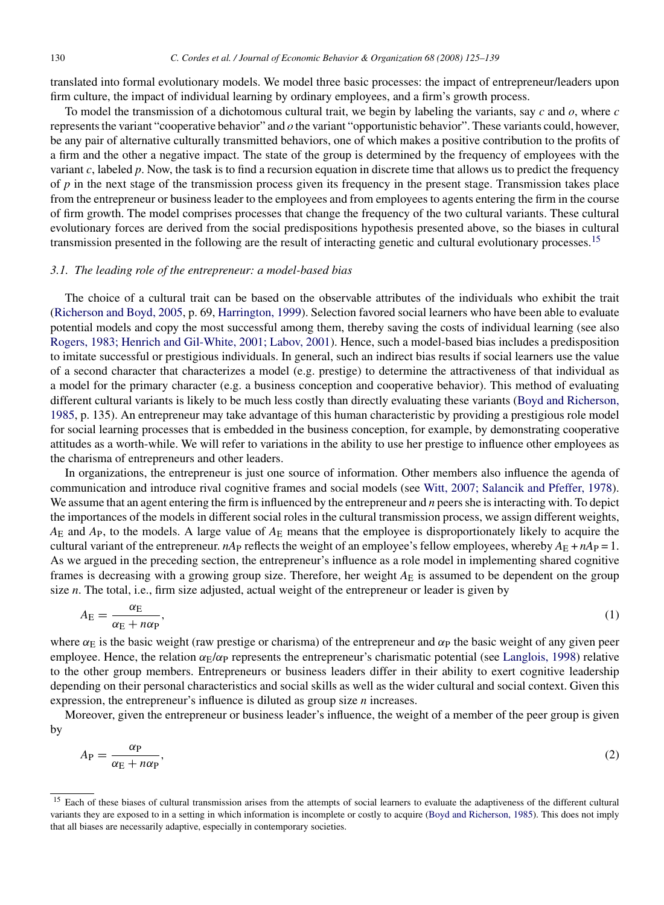translated into formal evolutionary models. We model three basic processes: the impact of entrepreneur/leaders upon firm culture, the impact of individual learning by ordinary employees, and a firm's growth process.

To model the transmission of a dichotomous cultural trait, we begin by labeling the variants, say *c* and *o*, where *c* represents the variant "cooperative behavior" and *o* the variant "opportunistic behavior". These variants could, however, be any pair of alternative culturally transmitted behaviors, one of which makes a positive contribution to the profits of a firm and the other a negative impact. The state of the group is determined by the frequency of employees with the variant  $c$ , labeled  $p$ . Now, the task is to find a recursion equation in discrete time that allows us to predict the frequency of  $p$  in the next stage of the transmission process given its frequency in the present stage. Transmission takes place from the entrepreneur or business leader to the employees and from employees to agents entering the firm in the course of firm growth. The model comprises processes that change the frequency of the two cultural variants. These cultural evolutionary forces are derived from the social predispositions hypothesis presented above, so the biases in cultural transmission presented in the following are the result of interacting genetic and cultural evolutionary processes.<sup>15</sup>

#### *3.1. The leading role of the entrepreneur: a model-based bias*

The choice of a cultural trait can be based on the observable attributes of the individuals who exhibit the trait ([Richerson and Boyd, 2005, p](#page-14-0). 69, [Harrington, 1999\).](#page-13-0) Selection favored social learners who have been able to evaluate potential models and copy the most successful among them, thereby saving the costs of individual learning (see also [Rogers, 1983; Henrich and Gil-White, 2001; Labov, 2001\).](#page-14-0) Hence, such a model-based bias includes a predisposition to imitate successful or prestigious individuals. In general, such an indirect bias results if social learners use the value of a second character that characterizes a model (e.g. prestige) to determine the attractiveness of that individual as a model for the primary character (e.g. a business conception and cooperative behavior). This method of evaluating different cultural variants is likely to be much less costly than directly evaluating these variants ([Boyd and Richerson,](#page-13-0) [1985, p](#page-13-0). 135). An entrepreneur may take advantage of this human characteristic by providing a prestigious role model for social learning processes that is embedded in the business conception, for example, by demonstrating cooperative attitudes as a worth-while. We will refer to variations in the ability to use her prestige to influence other employees as the charisma of entrepreneurs and other leaders.

In organizations, the entrepreneur is just one source of information. Other members also influence the agenda of communication and introduce rival cognitive frames and social models (see [Witt, 2007; Salancik and Pfeffer, 1978\).](#page-14-0) We assume that an agent entering the firm is influenced by the entrepreneur and *n* peers she is interacting with. To depict the importances of the models in different social roles in the cultural transmission process, we assign different weights, *A*<sup>E</sup> and *A*P, to the models. A large value of *A*<sup>E</sup> means that the employee is disproportionately likely to acquire the cultural variant of the entrepreneur.  $nA_P$  reflects the weight of an employee's fellow employees, whereby  $A_E + nA_P = 1$ . As we argued in the preceding section, the entrepreneur's influence as a role model in implementing shared cognitive frames is decreasing with a growing group size. Therefore, her weight  $A<sub>E</sub>$  is assumed to be dependent on the group size *n*. The total, i.e., firm size adjusted, actual weight of the entrepreneur or leader is given by

$$
A_{\rm E} = \frac{\alpha_{\rm E}}{\alpha_{\rm E} + n\alpha_{\rm P}},\tag{1}
$$

where  $\alpha_E$  is the basic weight (raw prestige or charisma) of the entrepreneur and  $\alpha_P$  the basic weight of any given peer employee. Hence, the relation  $\alpha_E/\alpha_P$  represents the entrepreneur's charismatic potential (see [Langlois, 1998\)](#page-13-0) relative to the other group members. Entrepreneurs or business leaders differ in their ability to exert cognitive leadership depending on their personal characteristics and social skills as well as the wider cultural and social context. Given this expression, the entrepreneur's influence is diluted as group size *n* increases.

Moreover, given the entrepreneur or business leader's influence, the weight of a member of the peer group is given by

$$
A_{\rm P} = \frac{\alpha_{\rm P}}{\alpha_{\rm E} + n\alpha_{\rm P}},\tag{2}
$$

<sup>&</sup>lt;sup>15</sup> Each of these biases of cultural transmission arises from the attempts of social learners to evaluate the adaptiveness of the different cultural variants they are exposed to in a setting in which information is incomplete or costly to acquire [\(Boyd and Richerson, 1985\).](#page-13-0) This does not imply that all biases are necessarily adaptive, especially in contemporary societies.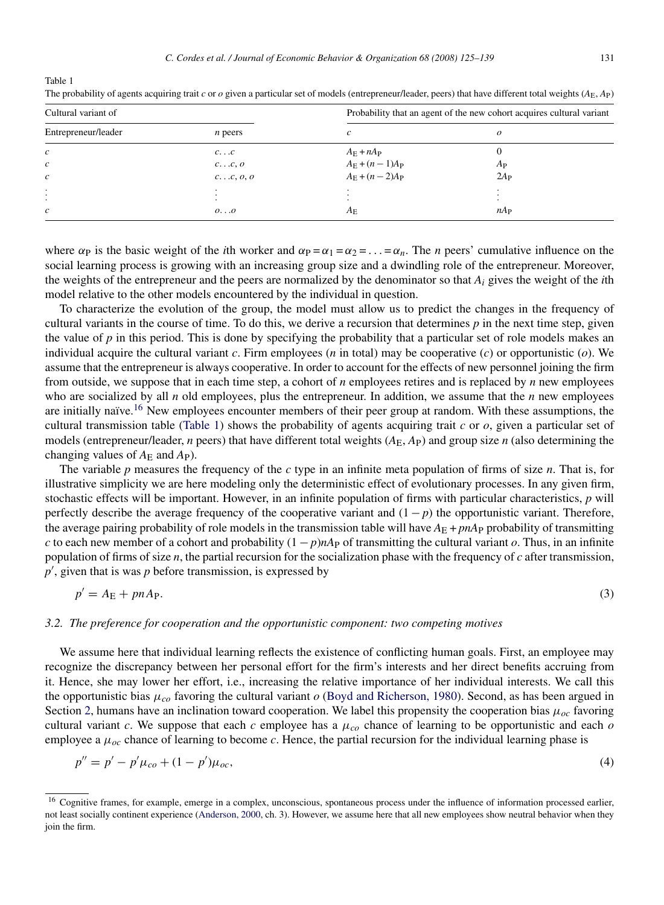<span id="page-6-0"></span>Table 1

| Cultural variant of |                    | Probability that an agent of the new cohort acquires cultural variant |                  |
|---------------------|--------------------|-----------------------------------------------------------------------|------------------|
| Entrepreneur/leader | <i>n</i> peers     |                                                                       | $\boldsymbol{o}$ |
| $\mathcal{C}_{0}$   | $c \ldots c$       | $A_{\rm E}$ + $nA_{\rm P}$                                            |                  |
| $\mathcal{C}_{0}$   | $c \ldots c, o$    | $A_{\rm E} + (n-1)A_{\rm P}$                                          | $A_{\rm P}$      |
| $\mathcal{C}$       | $c \ldots c, o, o$ | $A_{\rm E} + (n-2)A_{\rm P}$                                          | $2A_P$           |
| $\bullet$           |                    |                                                                       |                  |
| $\mathcal{C}_{0}$   | $0. \ldots 0$      | AЕ                                                                    | nAp              |

The probability of agents acquiring trait *c* or *o* given a particular set of models (entrepreneur/leader, peers) that have different total weights (*A*<sub>E</sub>, *A*<sub>P</sub>)

where  $\alpha_p$  is the basic weight of the *i*th worker and  $\alpha_p = \alpha_1 = \alpha_2 = \ldots = \alpha_n$ . The *n* peers' cumulative influence on the social learning process is growing with an increasing group size and a dwindling role of the entrepreneur. Moreover, the weights of the entrepreneur and the peers are normalized by the denominator so that *Ai* gives the weight of the *i*th model relative to the other models encountered by the individual in question.

To characterize the evolution of the group, the model must allow us to predict the changes in the frequency of cultural variants in the course of time. To do this, we derive a recursion that determines  $p$  in the next time step, given the value of  $p$  in this period. This is done by specifying the probability that a particular set of role models makes an individual acquire the cultural variant *c*. Firm employees (*n* in total) may be cooperative (*c*) or opportunistic (*o*). We assume that the entrepreneur is always cooperative. In order to account for the effects of new personnel joining the firm from outside, we suppose that in each time step, a cohort of *n* employees retires and is replaced by *n* new employees who are socialized by all  $n$  old employees, plus the entrepreneur. In addition, we assume that the  $n$  new employees are initially naïve.<sup>16</sup> New employees encounter members of their peer group at random. With these assumptions, the cultural transmission table (Table 1) shows the probability of agents acquiring trait *c* or *o*, given a particular set of models (entrepreneur/leader, *n* peers) that have different total weights ( $A<sub>E</sub>$ ,  $A<sub>P</sub>$ ) and group size *n* (also determining the changing values of  $A_E$  and  $A_P$ ).

The variable *p* measures the frequency of the *c* type in an infinite meta population of firms of size *n*. That is, for illustrative simplicity we are here modeling only the deterministic effect of evolutionary processes. In any given firm, stochastic effects will be important. However, in an infinite population of firms with particular characteristics, *p* will perfectly describe the average frequency of the cooperative variant and  $(1 - p)$  the opportunistic variant. Therefore, the average pairing probability of role models in the transmission table will have  $A_E + pnA_P$  probability of transmitting *c* to each new member of a cohort and probability  $(1 - p)nA_p$  of transmitting the cultural variant *o*. Thus, in an infinite population of firms of size *n*, the partial recursion for the socialization phase with the frequency of *c* after transmission, *p* , given that is was *p* before transmission, is expressed by

$$
p' = A_{\rm E} + p n A_{\rm P}.\tag{3}
$$

#### *3.2. The preference for cooperation and the opportunistic component: two competing motives*

We assume here that individual learning reflects the existence of conflicting human goals. First, an employee may recognize the discrepancy between her personal effort for the firm's interests and her direct benefits accruing from it. Hence, she may lower her effort, i.e., increasing the relative importance of her individual interests. We call this the opportunistic bias μ*co* favoring the cultural variant *o* ([Boyd and Richerson, 1980\).](#page-13-0) Second, as has been argued in Section [2,](#page-2-0) humans have an inclination toward cooperation. We label this propensity the cooperation bias  $\mu_{oc}$  favoring cultural variant *c*. We suppose that each *c* employee has a μ*co* chance of learning to be opportunistic and each *o* employee a  $\mu_{oc}$  chance of learning to become *c*. Hence, the partial recursion for the individual learning phase is

$$
p'' = p' - p'\mu_{co} + (1 - p')\mu_{oc},\tag{4}
$$

<sup>&</sup>lt;sup>16</sup> Cognitive frames, for example, emerge in a complex, unconscious, spontaneous process under the influence of information processed earlier, not least socially continent experience ([Anderson, 2000, c](#page-13-0)h. 3). However, we assume here that all new employees show neutral behavior when they join the firm.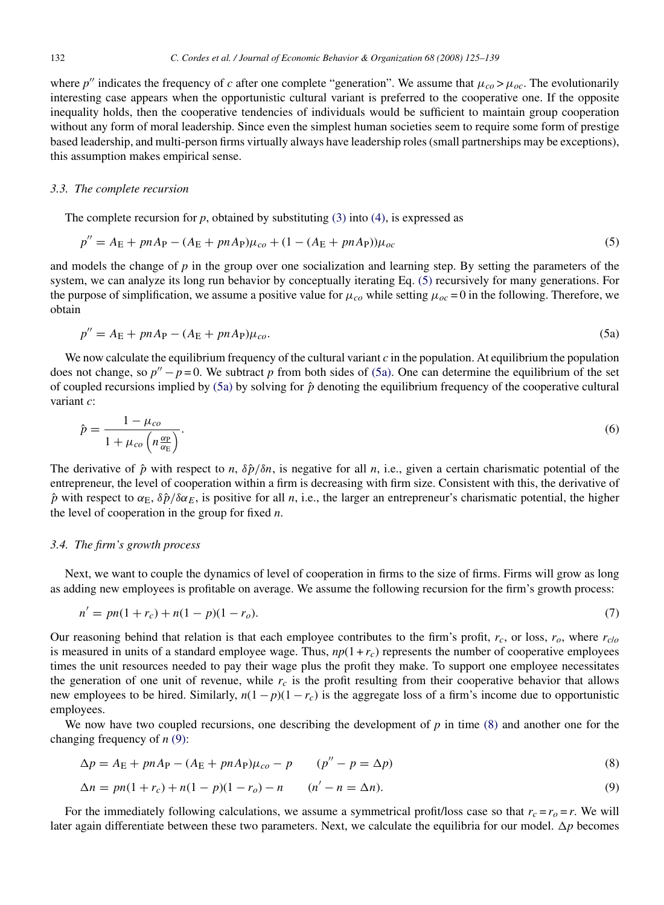<span id="page-7-0"></span>where  $p''$  indicates the frequency of *c* after one complete "generation". We assume that  $\mu_{co} > \mu_{oc}$ . The evolutionarily interesting case appears when the opportunistic cultural variant is preferred to the cooperative one. If the opposite inequality holds, then the cooperative tendencies of individuals would be sufficient to maintain group cooperation without any form of moral leadership. Since even the simplest human societies seem to require some form of prestige based leadership, and multi-person firms virtually always have leadership roles (small partnerships may be exceptions), this assumption makes empirical sense.

#### *3.3. The complete recursion*

The complete recursion for  $p$ , obtained by substituting  $(3)$  into  $(4)$ , is expressed as

$$
p'' = A_{\rm E} + pnA_{\rm P} - (A_{\rm E} + pnA_{\rm P})\mu_{co} + (1 - (A_{\rm E} + pnA_{\rm P}))\mu_{oc}
$$
\n<sup>(5)</sup>

and models the change of *p* in the group over one socialization and learning step. By setting the parameters of the system, we can analyze its long run behavior by conceptually iterating Eq. (5) recursively for many generations. For the purpose of simplification, we assume a positive value for  $\mu_{co}$  while setting  $\mu_{oc} = 0$  in the following. Therefore, we obtain

$$
p'' = AE + pnAP - (AE + pnAP)\muco.
$$
\n(5a)

We now calculate the equilibrium frequency of the cultural variant *c* in the population. At equilibrium the population does not change, so  $p'' - p = 0$ . We subtract p from both sides of (5a). One can determine the equilibrium of the set of coupled recursions implied by (5a) by solving for  $\hat{p}$  denoting the equilibrium frequency of the cooperative cultural variant *c*:

$$
\hat{p} = \frac{1 - \mu_{co}}{1 + \mu_{co} \left( n \frac{\alpha_{\rm P}}{\alpha_{\rm E}} \right)}.
$$
\n<sup>(6)</sup>

The derivative of  $\hat{p}$  with respect to *n*,  $\delta \hat{p}/\delta n$ , is negative for all *n*, i.e., given a certain charismatic potential of the entrepreneur, the level of cooperation within a firm is decreasing with firm size. Consistent with this, the derivative of  $\hat{p}$  with respect to  $\alpha_E$ ,  $\delta \hat{p}/\delta \alpha_E$ , is positive for all *n*, i.e., the larger an entrepreneur's charismatic potential, the higher the level of cooperation in the group for fixed *n*.

#### *3.4. The firm's growth process*

Next, we want to couple the dynamics of level of cooperation in firms to the size of firms. Firms will grow as long as adding new employees is profitable on average. We assume the following recursion for the firm's growth process:

$$
n' = pn(1 + r_c) + n(1 - p)(1 - r_o). \tag{7}
$$

Our reasoning behind that relation is that each employee contributes to the firm's profit, *rc*, or loss, *ro*, where *rc*/*<sup>o</sup>* is measured in units of a standard employee wage. Thus,  $np(1 + r_c)$  represents the number of cooperative employees times the unit resources needed to pay their wage plus the profit they make. To support one employee necessitates the generation of one unit of revenue, while *rc* is the profit resulting from their cooperative behavior that allows new employees to be hired. Similarly,  $n(1 - p)(1 - r_c)$  is the aggregate loss of a firm's income due to opportunistic employees.

We now have two coupled recursions, one describing the development of *p* in time (8) and another one for the changing frequency of *n* (9):

$$
\Delta p = A_{\rm E} + p n A_{\rm P} - (A_{\rm E} + p n A_{\rm P}) \mu_{co} - p \qquad (p'' - p = \Delta p) \tag{8}
$$

$$
\Delta n = pn(1 + r_c) + n(1 - p)(1 - r_o) - n \qquad (n' - n = \Delta n). \tag{9}
$$

For the immediately following calculations, we assume a symmetrical profit/loss case so that  $r_c = r_o = r$ . We will later again differentiate between these two parameters. Next, we calculate the equilibria for our model.  $\Delta p$  becomes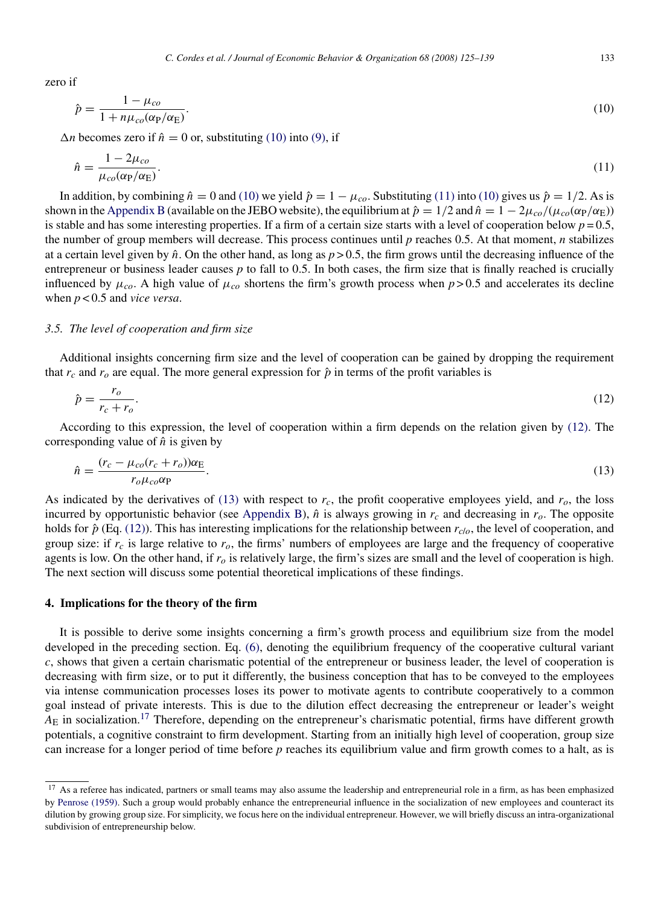<span id="page-8-0"></span>zero if

$$
\hat{p} = \frac{1 - \mu_{co}}{1 + n\mu_{co}(\alpha_P/\alpha_E)}.
$$
\n(10)

 $\Delta n$  becomes zero if  $\hat{n} = 0$  or, substituting (10) into [\(9\), i](#page-7-0)f

$$
\hat{n} = \frac{1 - 2\mu_{co}}{\mu_{co}(\alpha_{\rm P}/\alpha_{\rm E})}.\tag{11}
$$

In addition, by combining  $\hat{n} = 0$  and (10) we yield  $\hat{p} = 1 - \mu_{co}$ . Substituting (11) into (10) gives us  $\hat{p} = 1/2$ . As is shown in the Appendix B (available on the JEBO website), the equilibrium at  $\hat{p} = 1/2$  and  $\hat{n} = 1 - 2\mu_{co}/(\mu_{co}(\alpha_{\rm P}/\alpha_{\rm E}))$ is stable and has some interesting properties. If a firm of a certain size starts with a level of cooperation below  $p = 0.5$ , the number of group members will decrease. This process continues until *p* reaches 0.5. At that moment, *n* stabilizes at a certain level given by  $\hat{n}$ . On the other hand, as long as  $p > 0.5$ , the firm grows until the decreasing influence of the entrepreneur or business leader causes *p* to fall to 0.5. In both cases, the firm size that is finally reached is crucially influenced by  $\mu_{co}$ . A high value of  $\mu_{co}$  shortens the firm's growth process when  $p > 0.5$  and accelerates its decline when *p* < 0.5 and *vice versa*.

# *3.5. The level of cooperation and firm size*

Additional insights concerning firm size and the level of cooperation can be gained by dropping the requirement that  $r_c$  and  $r_o$  are equal. The more general expression for  $\hat{p}$  in terms of the profit variables is

$$
\hat{p} = \frac{r_o}{r_c + r_o}.\tag{12}
$$

According to this expression, the level of cooperation within a firm depends on the relation given by (12). The corresponding value of  $\hat{n}$  is given by

$$
\hat{n} = \frac{(r_c - \mu_{co}(r_c + r_o))\alpha_E}{r_o\mu_{co}\alpha_P}.
$$
\n(13)

As indicated by the derivatives of  $(13)$  with respect to  $r_c$ , the profit cooperative employees yield, and  $r_o$ , the loss incurred by opportunistic behavior (see Appendix B),  $\hat{n}$  is always growing in  $r_c$  and decreasing in  $r_o$ . The opposite holds for  $\hat{p}$  (Eq. (12)). This has interesting implications for the relationship between  $r_{c/o}$ , the level of cooperation, and group size: if  $r_c$  is large relative to  $r_o$ , the firms' numbers of employees are large and the frequency of cooperative agents is low. On the other hand, if *ro* is relatively large, the firm's sizes are small and the level of cooperation is high. The next section will discuss some potential theoretical implications of these findings.

#### **4. Implications for the theory of the firm**

It is possible to derive some insights concerning a firm's growth process and equilibrium size from the model developed in the preceding section. Eq. [\(6\),](#page-7-0) denoting the equilibrium frequency of the cooperative cultural variant *c*, shows that given a certain charismatic potential of the entrepreneur or business leader, the level of cooperation is decreasing with firm size, or to put it differently, the business conception that has to be conveyed to the employees via intense communication processes loses its power to motivate agents to contribute cooperatively to a common goal instead of private interests. This is due to the dilution effect decreasing the entrepreneur or leader's weight  $A_{\rm E}$  in socialization.<sup>17</sup> Therefore, depending on the entrepreneur's charismatic potential, firms have different growth potentials, a cognitive constraint to firm development. Starting from an initially high level of cooperation, group size can increase for a longer period of time before *p* reaches its equilibrium value and firm growth comes to a halt, as is

<sup>&</sup>lt;sup>17</sup> As a referee has indicated, partners or small teams may also assume the leadership and entrepreneurial role in a firm, as has been emphasized by [Penrose \(1959\). S](#page-14-0)uch a group would probably enhance the entrepreneurial influence in the socialization of new employees and counteract its dilution by growing group size. For simplicity, we focus here on the individual entrepreneur. However, we will briefly discuss an intra-organizational subdivision of entrepreneurship below.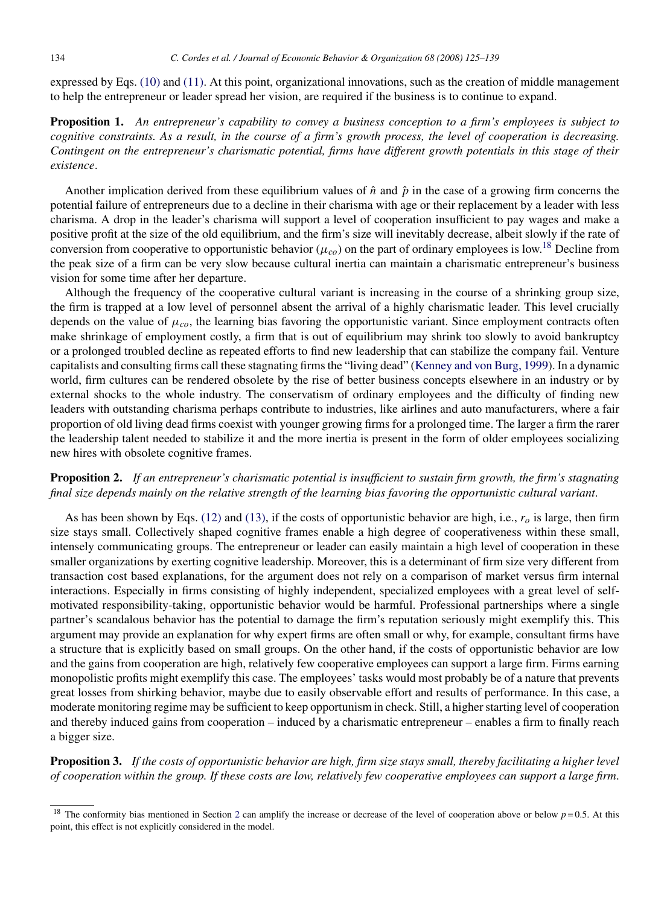expressed by Eqs. [\(10\)](#page-8-0) and [\(11\). A](#page-8-0)t this point, organizational innovations, such as the creation of middle management to help the entrepreneur or leader spread her vision, are required if the business is to continue to expand.

**Proposition 1.** *An entrepreneur's capability to convey a business conception to a firm's employees is subject to cognitive constraints. As a result, in the course of a firm's growth process, the level of cooperation is decreasing. Contingent on the entrepreneur's charismatic potential, firms have different growth potentials in this stage of their existence*.

Another implication derived from these equilibrium values of  $\hat{n}$  and  $\hat{p}$  in the case of a growing firm concerns the potential failure of entrepreneurs due to a decline in their charisma with age or their replacement by a leader with less charisma. A drop in the leader's charisma will support a level of cooperation insufficient to pay wages and make a positive profit at the size of the old equilibrium, and the firm's size will inevitably decrease, albeit slowly if the rate of conversion from cooperative to opportunistic behavior  $(\mu_{co})$  on the part of ordinary employees is low.<sup>18</sup> Decline from the peak size of a firm can be very slow because cultural inertia can maintain a charismatic entrepreneur's business vision for some time after her departure.

Although the frequency of the cooperative cultural variant is increasing in the course of a shrinking group size, the firm is trapped at a low level of personnel absent the arrival of a highly charismatic leader. This level crucially depends on the value of μ*co*, the learning bias favoring the opportunistic variant. Since employment contracts often make shrinkage of employment costly, a firm that is out of equilibrium may shrink too slowly to avoid bankruptcy or a prolonged troubled decline as repeated efforts to find new leadership that can stabilize the company fail. Venture capitalists and consulting firms call these stagnating firms the "living dead" [\(Kenney and von Burg, 1999\).](#page-13-0) In a dynamic world, firm cultures can be rendered obsolete by the rise of better business concepts elsewhere in an industry or by external shocks to the whole industry. The conservatism of ordinary employees and the difficulty of finding new leaders with outstanding charisma perhaps contribute to industries, like airlines and auto manufacturers, where a fair proportion of old living dead firms coexist with younger growing firms for a prolonged time. The larger a firm the rarer the leadership talent needed to stabilize it and the more inertia is present in the form of older employees socializing new hires with obsolete cognitive frames.

# **Proposition 2.** *If an entrepreneur's charismatic potential is insufficient to sustain firm growth, the firm's stagnating final size depends mainly on the relative strength of the learning bias favoring the opportunistic cultural variant*.

As has been shown by Eqs. [\(12\)](#page-8-0) and [\(13\), i](#page-8-0)f the costs of opportunistic behavior are high, i.e., *ro* is large, then firm size stays small. Collectively shaped cognitive frames enable a high degree of cooperativeness within these small, intensely communicating groups. The entrepreneur or leader can easily maintain a high level of cooperation in these smaller organizations by exerting cognitive leadership. Moreover, this is a determinant of firm size very different from transaction cost based explanations, for the argument does not rely on a comparison of market versus firm internal interactions. Especially in firms consisting of highly independent, specialized employees with a great level of selfmotivated responsibility-taking, opportunistic behavior would be harmful. Professional partnerships where a single partner's scandalous behavior has the potential to damage the firm's reputation seriously might exemplify this. This argument may provide an explanation for why expert firms are often small or why, for example, consultant firms have a structure that is explicitly based on small groups. On the other hand, if the costs of opportunistic behavior are low and the gains from cooperation are high, relatively few cooperative employees can support a large firm. Firms earning monopolistic profits might exemplify this case. The employees' tasks would most probably be of a nature that prevents great losses from shirking behavior, maybe due to easily observable effort and results of performance. In this case, a moderate monitoring regime may be sufficient to keep opportunism in check. Still, a higher starting level of cooperation and thereby induced gains from cooperation – induced by a charismatic entrepreneur – enables a firm to finally reach a bigger size.

**Proposition 3.** *If the costs of opportunistic behavior are high, firm size stays small, thereby facilitating a higher level of cooperation within the group. If these costs are low, relatively few cooperative employees can support a large firm*.

<sup>&</sup>lt;sup>18</sup> The conformity bias mentioned in Section [2](#page-2-0) can amplify the increase or decrease of the level of cooperation above or below  $p = 0.5$ . At this point, this effect is not explicitly considered in the model.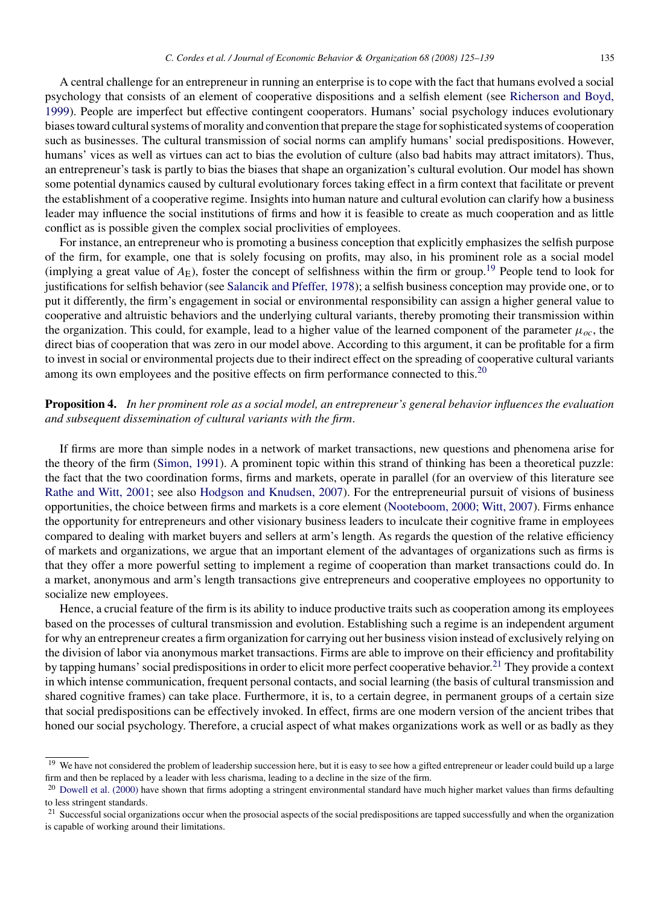A central challenge for an entrepreneur in running an enterprise is to cope with the fact that humans evolved a social psychology that consists of an element of cooperative dispositions and a selfish element (see [Richerson and Boyd,](#page-14-0) [1999\).](#page-14-0) People are imperfect but effective contingent cooperators. Humans' social psychology induces evolutionary biases toward cultural systems of morality and convention that prepare the stage for sophisticated systems of cooperation such as businesses. The cultural transmission of social norms can amplify humans' social predispositions. However, humans' vices as well as virtues can act to bias the evolution of culture (also bad habits may attract imitators). Thus, an entrepreneur's task is partly to bias the biases that shape an organization's cultural evolution. Our model has shown some potential dynamics caused by cultural evolutionary forces taking effect in a firm context that facilitate or prevent the establishment of a cooperative regime. Insights into human nature and cultural evolution can clarify how a business leader may influence the social institutions of firms and how it is feasible to create as much cooperation and as little conflict as is possible given the complex social proclivities of employees.

For instance, an entrepreneur who is promoting a business conception that explicitly emphasizes the selfish purpose of the firm, for example, one that is solely focusing on profits, may also, in his prominent role as a social model (implying a great value of  $A_E$ ), foster the concept of selfishness within the firm or group.<sup>19</sup> People tend to look for justifications for selfish behavior (see [Salancik and Pfeffer, 1978\);](#page-14-0) a selfish business conception may provide one, or to put it differently, the firm's engagement in social or environmental responsibility can assign a higher general value to cooperative and altruistic behaviors and the underlying cultural variants, thereby promoting their transmission within the organization. This could, for example, lead to a higher value of the learned component of the parameter  $\mu_{oc}$ , the direct bias of cooperation that was zero in our model above. According to this argument, it can be profitable for a firm to invest in social or environmental projects due to their indirect effect on the spreading of cooperative cultural variants among its own employees and the positive effects on firm performance connected to this.<sup>20</sup>

# **Proposition 4.** *In her prominent role as a social model, an entrepreneur's general behavior influences the evaluation and subsequent dissemination of cultural variants with the firm*.

If firms are more than simple nodes in a network of market transactions, new questions and phenomena arise for the theory of the firm ([Simon, 1991\).](#page-14-0) A prominent topic within this strand of thinking has been a theoretical puzzle: the fact that the two coordination forms, firms and markets, operate in parallel (for an overview of this literature see [Rathe and Witt, 2001;](#page-14-0) see also [Hodgson and Knudsen, 2007\).](#page-13-0) For the entrepreneurial pursuit of visions of business opportunities, the choice between firms and markets is a core element [\(Nooteboom, 2000; Witt, 2007\).](#page-14-0) Firms enhance the opportunity for entrepreneurs and other visionary business leaders to inculcate their cognitive frame in employees compared to dealing with market buyers and sellers at arm's length. As regards the question of the relative efficiency of markets and organizations, we argue that an important element of the advantages of organizations such as firms is that they offer a more powerful setting to implement a regime of cooperation than market transactions could do. In a market, anonymous and arm's length transactions give entrepreneurs and cooperative employees no opportunity to socialize new employees.

Hence, a crucial feature of the firm is its ability to induce productive traits such as cooperation among its employees based on the processes of cultural transmission and evolution. Establishing such a regime is an independent argument for why an entrepreneur creates a firm organization for carrying out her business vision instead of exclusively relying on the division of labor via anonymous market transactions. Firms are able to improve on their efficiency and profitability by tapping humans' social predispositions in order to elicit more perfect cooperative behavior.<sup>21</sup> They provide a context in which intense communication, frequent personal contacts, and social learning (the basis of cultural transmission and shared cognitive frames) can take place. Furthermore, it is, to a certain degree, in permanent groups of a certain size that social predispositions can be effectively invoked. In effect, firms are one modern version of the ancient tribes that honed our social psychology. Therefore, a crucial aspect of what makes organizations work as well or as badly as they

<sup>&</sup>lt;sup>19</sup> We have not considered the problem of leadership succession here, but it is easy to see how a gifted entrepreneur or leader could build up a large firm and then be replaced by a leader with less charisma, leading to a decline in the size of the firm.

<sup>&</sup>lt;sup>20</sup> [Dowell et al. \(2000\)](#page-13-0) have shown that firms adopting a stringent environmental standard have much higher market values than firms defaulting to less stringent standards.

 $21$  Successful social organizations occur when the prosocial aspects of the social predispositions are tapped successfully and when the organization is capable of working around their limitations.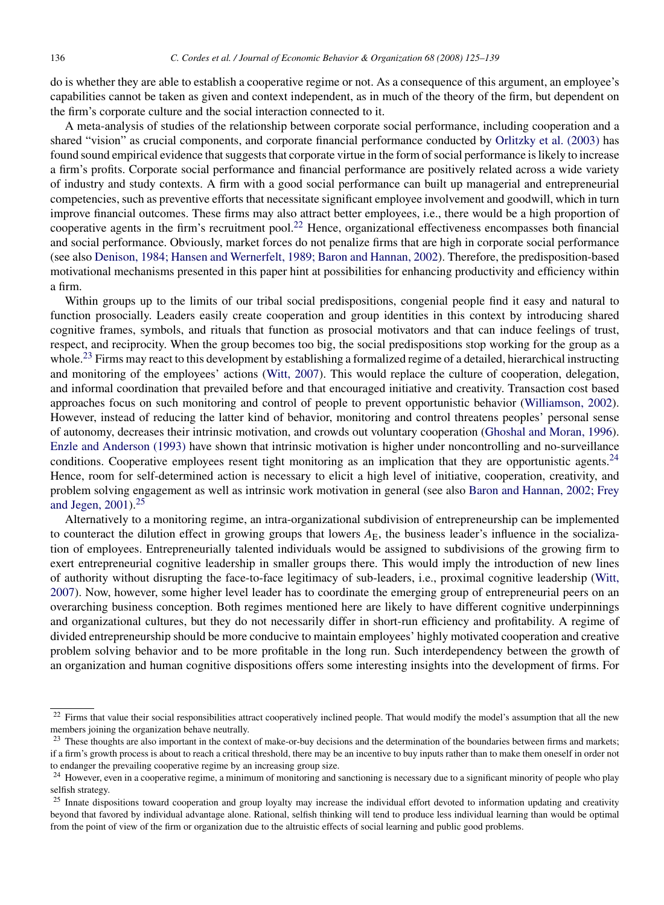do is whether they are able to establish a cooperative regime or not. As a consequence of this argument, an employee's capabilities cannot be taken as given and context independent, as in much of the theory of the firm, but dependent on the firm's corporate culture and the social interaction connected to it.

A meta-analysis of studies of the relationship between corporate social performance, including cooperation and a shared "vision" as crucial components, and corporate financial performance conducted by [Orlitzky et al. \(2003\)](#page-14-0) has found sound empirical evidence that suggests that corporate virtue in the form of social performance is likely to increase a firm's profits. Corporate social performance and financial performance are positively related across a wide variety of industry and study contexts. A firm with a good social performance can built up managerial and entrepreneurial competencies, such as preventive efforts that necessitate significant employee involvement and goodwill, which in turn improve financial outcomes. These firms may also attract better employees, i.e., there would be a high proportion of cooperative agents in the firm's recruitment pool.<sup>22</sup> Hence, organizational effectiveness encompasses both financial and social performance. Obviously, market forces do not penalize firms that are high in corporate social performance (see also [Denison, 1984; Hansen and Wernerfelt, 1989; Baron and Hannan, 2002\).](#page-13-0) Therefore, the predisposition-based motivational mechanisms presented in this paper hint at possibilities for enhancing productivity and efficiency within a firm.

Within groups up to the limits of our tribal social predispositions, congenial people find it easy and natural to function prosocially. Leaders easily create cooperation and group identities in this context by introducing shared cognitive frames, symbols, and rituals that function as prosocial motivators and that can induce feelings of trust, respect, and reciprocity. When the group becomes too big, the social predispositions stop working for the group as a whole.<sup>23</sup> Firms may react to this development by establishing a formalized regime of a detailed, hierarchical instructing and monitoring of the employees' actions [\(Witt, 2007\).](#page-14-0) This would replace the culture of cooperation, delegation, and informal coordination that prevailed before and that encouraged initiative and creativity. Transaction cost based approaches focus on such monitoring and control of people to prevent opportunistic behavior ([Williamson, 2002\).](#page-14-0) However, instead of reducing the latter kind of behavior, monitoring and control threatens peoples' personal sense of autonomy, decreases their intrinsic motivation, and crowds out voluntary cooperation ([Ghoshal and Moran, 1996\).](#page-13-0) [Enzle and Anderson \(1993\)](#page-13-0) have shown that intrinsic motivation is higher under noncontrolling and no-surveillance conditions. Cooperative employees resent tight monitoring as an implication that they are opportunistic agents.<sup>24</sup> Hence, room for self-determined action is necessary to elicit a high level of initiative, cooperation, creativity, and problem solving engagement as well as intrinsic work motivation in general (see also [Baron and Hannan, 2002; Frey](#page-13-0) and Jegen,  $2001$ ).<sup>25</sup>

Alternatively to a monitoring regime, an intra-organizational subdivision of entrepreneurship can be implemented to counteract the dilution effect in growing groups that lowers  $A<sub>E</sub>$ , the business leader's influence in the socialization of employees. Entrepreneurially talented individuals would be assigned to subdivisions of the growing firm to exert entrepreneurial cognitive leadership in smaller groups there. This would imply the introduction of new lines of authority without disrupting the face-to-face legitimacy of sub-leaders, i.e., proximal cognitive leadership ([Witt,](#page-14-0) [2007\).](#page-14-0) Now, however, some higher level leader has to coordinate the emerging group of entrepreneurial peers on an overarching business conception. Both regimes mentioned here are likely to have different cognitive underpinnings and organizational cultures, but they do not necessarily differ in short-run efficiency and profitability. A regime of divided entrepreneurship should be more conducive to maintain employees' highly motivated cooperation and creative problem solving behavior and to be more profitable in the long run. Such interdependency between the growth of an organization and human cognitive dispositions offers some interesting insights into the development of firms. For

<sup>&</sup>lt;sup>22</sup> Firms that value their social responsibilities attract cooperatively inclined people. That would modify the model's assumption that all the new members joining the organization behave neutrally.

<sup>&</sup>lt;sup>23</sup> These thoughts are also important in the context of make-or-buy decisions and the determination of the boundaries between firms and markets; if a firm's growth process is about to reach a critical threshold, there may be an incentive to buy inputs rather than to make them oneself in order not to endanger the prevailing cooperative regime by an increasing group size.

<sup>&</sup>lt;sup>24</sup> However, even in a cooperative regime, a minimum of monitoring and sanctioning is necessary due to a significant minority of people who play selfish strategy.

<sup>&</sup>lt;sup>25</sup> Innate dispositions toward cooperation and group loyalty may increase the individual effort devoted to information updating and creativity beyond that favored by individual advantage alone. Rational, selfish thinking will tend to produce less individual learning than would be optimal from the point of view of the firm or organization due to the altruistic effects of social learning and public good problems.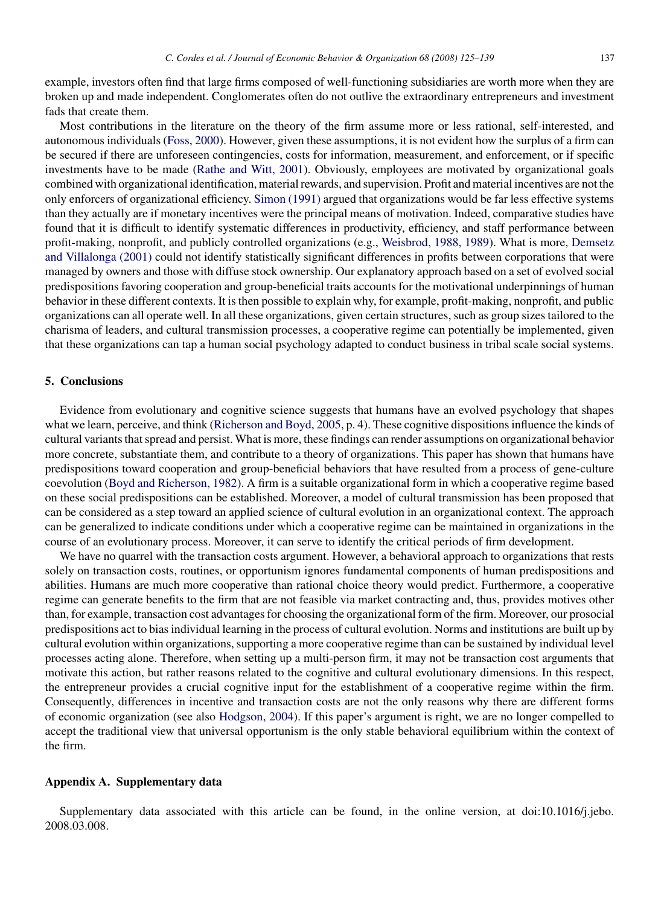<span id="page-12-0"></span>example, investors often find that large firms composed of well-functioning subsidiaries are worth more when they are broken up and made independent. Conglomerates often do not outlive the extraordinary entrepreneurs and investment fads that create them.

Most contributions in the literature on the theory of the firm assume more or less rational, self-interested, and autonomous individuals [\(Foss, 2000\).](#page-13-0) However, given these assumptions, it is not evident how the surplus of a firm can be secured if there are unforeseen contingencies, costs for information, measurement, and enforcement, or if specific investments have to be made [\(Rathe and Witt, 2001\).](#page-14-0) Obviously, employees are motivated by organizational goals combined with organizational identification, material rewards, and supervision. Profit and material incentives are not the only enforcers of organizational efficiency. [Simon \(1991\)](#page-14-0) argued that organizations would be far less effective systems than they actually are if monetary incentives were the principal means of motivation. Indeed, comparative studies have found that it is difficult to identify systematic differences in productivity, efficiency, and staff performance between profit-making, nonprofit, and publicly controlled organizations (e.g., [Weisbrod, 1988, 1989\).](#page-14-0) What is more, [Demsetz](#page-13-0) [and Villalonga \(2001\)](#page-13-0) could not identify statistically significant differences in profits between corporations that were managed by owners and those with diffuse stock ownership. Our explanatory approach based on a set of evolved social predispositions favoring cooperation and group-beneficial traits accounts for the motivational underpinnings of human behavior in these different contexts. It is then possible to explain why, for example, profit-making, nonprofit, and public organizations can all operate well. In all these organizations, given certain structures, such as group sizes tailored to the charisma of leaders, and cultural transmission processes, a cooperative regime can potentially be implemented, given that these organizations can tap a human social psychology adapted to conduct business in tribal scale social systems.

# **5. Conclusions**

Evidence from evolutionary and cognitive science suggests that humans have an evolved psychology that shapes what we learn, perceive, and think [\(Richerson and Boyd, 2005, p](#page-14-0). 4). These cognitive dispositions influence the kinds of cultural variants that spread and persist. What is more, these findings can render assumptions on organizational behavior more concrete, substantiate them, and contribute to a theory of organizations. This paper has shown that humans have predispositions toward cooperation and group-beneficial behaviors that have resulted from a process of gene-culture coevolution [\(Boyd and Richerson, 1982\).](#page-13-0) A firm is a suitable organizational form in which a cooperative regime based on these social predispositions can be established. Moreover, a model of cultural transmission has been proposed that can be considered as a step toward an applied science of cultural evolution in an organizational context. The approach can be generalized to indicate conditions under which a cooperative regime can be maintained in organizations in the course of an evolutionary process. Moreover, it can serve to identify the critical periods of firm development.

We have no quarrel with the transaction costs argument. However, a behavioral approach to organizations that rests solely on transaction costs, routines, or opportunism ignores fundamental components of human predispositions and abilities. Humans are much more cooperative than rational choice theory would predict. Furthermore, a cooperative regime can generate benefits to the firm that are not feasible via market contracting and, thus, provides motives other than, for example, transaction cost advantages for choosing the organizational form of the firm. Moreover, our prosocial predispositions act to bias individual learning in the process of cultural evolution. Norms and institutions are built up by cultural evolution within organizations, supporting a more cooperative regime than can be sustained by individual level processes acting alone. Therefore, when setting up a multi-person firm, it may not be transaction cost arguments that motivate this action, but rather reasons related to the cognitive and cultural evolutionary dimensions. In this respect, the entrepreneur provides a crucial cognitive input for the establishment of a cooperative regime within the firm. Consequently, differences in incentive and transaction costs are not the only reasons why there are different forms of economic organization (see also [Hodgson, 2004\).](#page-13-0) If this paper's argument is right, we are no longer compelled to accept the traditional view that universal opportunism is the only stable behavioral equilibrium within the context of the firm.

#### **Appendix A. Supplementary data**

Supplementary data associated with this article can be found, in the online version, at doi:10.1016/j.jebo. 2008.03.008.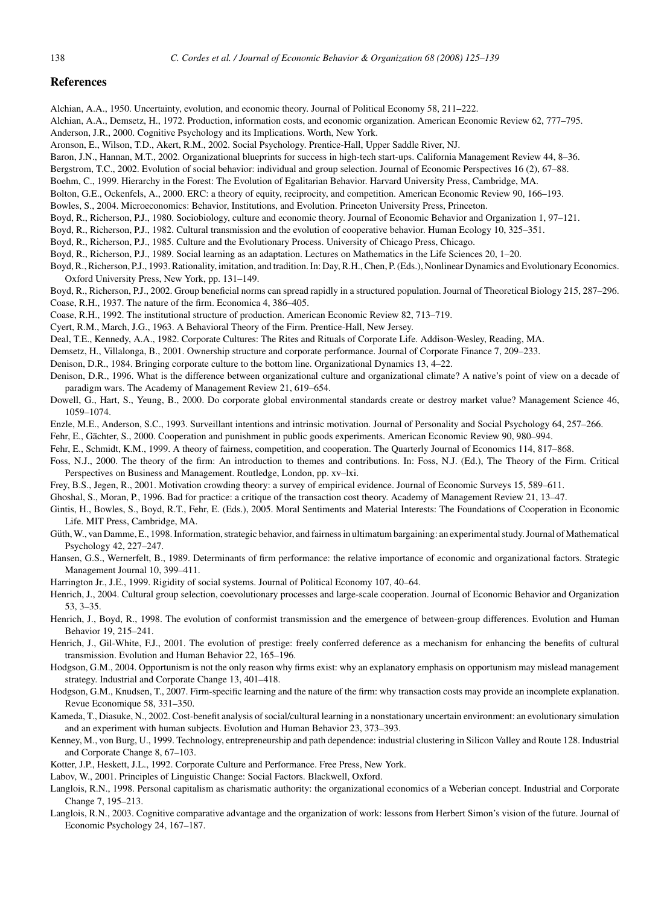## <span id="page-13-0"></span>**References**

- Alchian, A.A., 1950. Uncertainty, evolution, and economic theory. Journal of Political Economy 58, 211–222.
- Alchian, A.A., Demsetz, H., 1972. Production, information costs, and economic organization. American Economic Review 62, 777–795. Anderson, J.R., 2000. Cognitive Psychology and its Implications. Worth, New York.

Aronson, E., Wilson, T.D., Akert, R.M., 2002. Social Psychology. Prentice-Hall, Upper Saddle River, NJ.

Baron, J.N., Hannan, M.T., 2002. Organizational blueprints for success in high-tech start-ups. California Management Review 44, 8–36.

Bergstrom, T.C., 2002. Evolution of social behavior: individual and group selection. Journal of Economic Perspectives 16 (2), 67–88.

Boehm, C., 1999. Hierarchy in the Forest: The Evolution of Egalitarian Behavior. Harvard University Press, Cambridge, MA.

Bolton, G.E., Ockenfels, A., 2000. ERC: a theory of equity, reciprocity, and competition. American Economic Review 90, 166–193.

Bowles, S., 2004. Microeconomics: Behavior, Institutions, and Evolution. Princeton University Press, Princeton.

Boyd, R., Richerson, P.J., 1980. Sociobiology, culture and economic theory. Journal of Economic Behavior and Organization 1, 97–121.

Boyd, R., Richerson, P.J., 1982. Cultural transmission and the evolution of cooperative behavior. Human Ecology 10, 325–351.

Boyd, R., Richerson, P.J., 1985. Culture and the Evolutionary Process. University of Chicago Press, Chicago.

Boyd, R., Richerson, P.J., 1989. Social learning as an adaptation. Lectures on Mathematics in the Life Sciences 20, 1–20.

Boyd, R., Richerson, P.J., 1993. Rationality, imitation, and tradition. In: Day, R.H., Chen, P. (Eds.), Nonlinear Dynamics and Evolutionary Economics. Oxford University Press, New York, pp. 131–149.

Boyd, R., Richerson, P.J., 2002. Group beneficial norms can spread rapidly in a structured population. Journal of Theoretical Biology 215, 287–296. Coase, R.H., 1937. The nature of the firm. Economica 4, 386–405.

Coase, R.H., 1992. The institutional structure of production. American Economic Review 82, 713–719.

Cyert, R.M., March, J.G., 1963. A Behavioral Theory of the Firm. Prentice-Hall, New Jersey.

Deal, T.E., Kennedy, A.A., 1982. Corporate Cultures: The Rites and Rituals of Corporate Life. Addison-Wesley, Reading, MA.

Demsetz, H., Villalonga, B., 2001. Ownership structure and corporate performance. Journal of Corporate Finance 7, 209–233.

Denison, D.R., 1984. Bringing corporate culture to the bottom line. Organizational Dynamics 13, 4–22.

Denison, D.R., 1996. What is the difference between organizational culture and organizational climate? A native's point of view on a decade of paradigm wars. The Academy of Management Review 21, 619–654.

Dowell, G., Hart, S., Yeung, B., 2000. Do corporate global environmental standards create or destroy market value? Management Science 46, 1059–1074.

Enzle, M.E., Anderson, S.C., 1993. Surveillant intentions and intrinsic motivation. Journal of Personality and Social Psychology 64, 257–266.

Fehr, E., Gächter, S., 2000. Cooperation and punishment in public goods experiments. American Economic Review 90, 980–994.

Fehr, E., Schmidt, K.M., 1999. A theory of fairness, competition, and cooperation. The Quarterly Journal of Economics 114, 817–868.

Foss, N.J., 2000. The theory of the firm: An introduction to themes and contributions. In: Foss, N.J. (Ed.), The Theory of the Firm. Critical Perspectives on Business and Management. Routledge, London, pp. xv–lxi.

Frey, B.S., Jegen, R., 2001. Motivation crowding theory: a survey of empirical evidence. Journal of Economic Surveys 15, 589–611.

Ghoshal, S., Moran, P., 1996. Bad for practice: a critique of the transaction cost theory. Academy of Management Review 21, 13–47.

Gintis, H., Bowles, S., Boyd, R.T., Fehr, E. (Eds.), 2005. Moral Sentiments and Material Interests: The Foundations of Cooperation in Economic Life. MIT Press, Cambridge, MA.

Güth, W., van Damme, E., 1998. Information, strategic behavior, and fairness in ultimatum bargaining: an experimental study. Journal of Mathematical Psychology 42, 227–247.

Hansen, G.S., Wernerfelt, B., 1989. Determinants of firm performance: the relative importance of economic and organizational factors. Strategic Management Journal 10, 399–411.

Harrington Jr., J.E., 1999. Rigidity of social systems. Journal of Political Economy 107, 40–64.

Henrich, J., 2004. Cultural group selection, coevolutionary processes and large-scale cooperation. Journal of Economic Behavior and Organization 53, 3–35.

Henrich, J., Boyd, R., 1998. The evolution of conformist transmission and the emergence of between-group differences. Evolution and Human Behavior 19, 215–241.

Henrich, J., Gil-White, F.J., 2001. The evolution of prestige: freely conferred deference as a mechanism for enhancing the benefits of cultural transmission. Evolution and Human Behavior 22, 165–196.

Hodgson, G.M., 2004. Opportunism is not the only reason why firms exist: why an explanatory emphasis on opportunism may mislead management strategy. Industrial and Corporate Change 13, 401–418.

Hodgson, G.M., Knudsen, T., 2007. Firm-specific learning and the nature of the firm: why transaction costs may provide an incomplete explanation. Revue Economique 58, 331–350.

Kameda, T., Diasuke, N., 2002. Cost-benefit analysis of social/cultural learning in a nonstationary uncertain environment: an evolutionary simulation and an experiment with human subjects. Evolution and Human Behavior 23, 373–393.

Kenney, M., von Burg, U., 1999. Technology, entrepreneurship and path dependence: industrial clustering in Silicon Valley and Route 128. Industrial and Corporate Change 8, 67–103.

Kotter, J.P., Heskett, J.L., 1992. Corporate Culture and Performance. Free Press, New York.

Labov, W., 2001. Principles of Linguistic Change: Social Factors. Blackwell, Oxford.

Langlois, R.N., 1998. Personal capitalism as charismatic authority: the organizational economics of a Weberian concept. Industrial and Corporate Change 7, 195–213.

Langlois, R.N., 2003. Cognitive comparative advantage and the organization of work: lessons from Herbert Simon's vision of the future. Journal of Economic Psychology 24, 167–187.